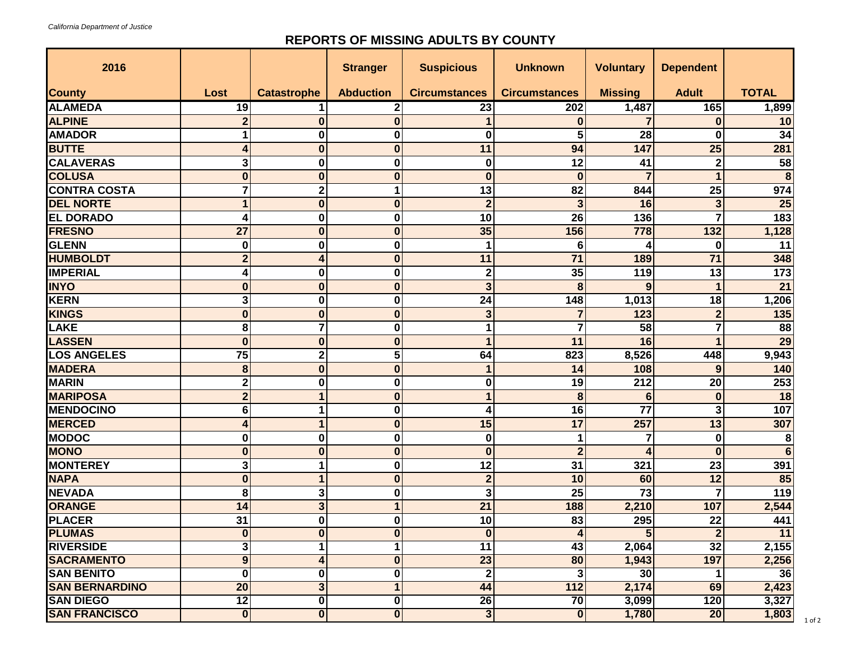## **REPORTS OF MISSING ADULTS BY COUNTY**

| 2016                  |                         |                         | <b>Stranger</b>         | <b>Suspicious</b>       | <b>Unknown</b>       | <b>Voluntary</b> | <b>Dependent</b>        |                 |
|-----------------------|-------------------------|-------------------------|-------------------------|-------------------------|----------------------|------------------|-------------------------|-----------------|
| <b>County</b>         | Lost                    | <b>Catastrophe</b>      | <b>Abduction</b>        | <b>Circumstances</b>    | <b>Circumstances</b> | <b>Missing</b>   | <b>Adult</b>            | <b>TOTAL</b>    |
| <b>ALAMEDA</b>        | 19                      |                         | 2                       | 23                      | 202                  | 1,487            | 165                     | 1,899           |
| <b>ALPINE</b>         | $\overline{2}$          | $\bf{0}$                | $\bf{0}$                | 1                       | $\bf{0}$             | $\overline{7}$   | $\bf{0}$                | 10              |
| <b>AMADOR</b>         |                         | $\bf{0}$                | $\bf{0}$                | $\bf{0}$                | 5                    | 28               | $\bf{0}$                | $\overline{34}$ |
| <b>BUTTE</b>          |                         | $\bf{0}$                | 0                       | 11                      | 94                   | 147              | 25                      | 281             |
| <b>CALAVERAS</b>      | 3                       | 0                       | 0                       | $\bf{0}$                | 12                   | 41               | 2                       | 58              |
| <b>COLUSA</b>         | $\bf{0}$                | $\bf{0}$                | $\bf{0}$                | $\bf{0}$                | $\bf{0}$             | $\overline{7}$   |                         | 8               |
| <b>CONTRA COSTA</b>   |                         | $\mathbf 2$             |                         | 13                      | 82                   | 844              | 25                      | 974             |
| <b>DEL NORTE</b>      |                         | $\bf{0}$                | $\bf{0}$                | $\overline{2}$          | 3                    | 16               | 3                       | 25              |
| <b>EL DORADO</b>      | 4                       | $\bf{0}$                | $\bf{0}$                | 10                      | 26                   | 136              | 7                       | 183             |
| <b>FRESNO</b>         | 27                      | $\bf{0}$                | $\bf{0}$                | 35                      | 156                  | 778              | 132                     | 1,128           |
| <b>GLENN</b>          | 0                       | 0                       | 0                       | 1                       | 6                    | 4                | 0                       | 11              |
| <b>HUMBOLDT</b>       | $\overline{2}$          | 4                       | $\bf{0}$                | 11                      | 71                   | 189              | 71                      | 348             |
| <b>IMPERIAL</b>       | 4                       | $\bf{0}$                | 0                       | $\mathbf{2}$            | 35                   | 119              | 13                      | 173             |
| <b>INYO</b>           | $\bf{0}$                | $\bf{0}$                | $\bf{0}$                | $\overline{\mathbf{3}}$ | 8                    | 9                | $\overline{\mathbf{1}}$ | $\overline{21}$ |
| <b>KERN</b>           | 3                       | $\bf{0}$                | 0                       | 24                      | 148                  | 1,013            | 18                      | 1,206           |
| <b>KINGS</b>          | $\Omega$                | $\bf{0}$                | 0                       | 3                       |                      | 123              | $\overline{2}$          | 135             |
| LAKE                  | 8                       | 7                       | 0                       | 1                       |                      | 58               |                         | 88              |
| <b>LASSEN</b>         | $\bf{0}$                | $\bf{0}$                | 0                       | 1                       | 11                   | 16               |                         | 29              |
| <b>LOS ANGELES</b>    | 75                      | $\mathbf 2$             | 5                       | 64                      | 823                  | 8,526            | 448                     | 9,943           |
| <b>MADERA</b>         | 8                       | $\bf{0}$                | $\bf{0}$                | 1                       | 14                   | 108              | 9                       | 140             |
| <b>MARIN</b>          | 2                       | $\bf{0}$                | 0                       | $\bf{0}$                | 19                   | 212              | 20                      | 253             |
| <b>MARIPOSA</b>       | $\overline{2}$          |                         | 0                       | $\mathbf 1$             | 8                    | $6\phantom{1}6$  | $\bf{0}$                | 18              |
| <b>MENDOCINO</b>      | 6                       | 1                       | $\bf{0}$                | 4                       | 16                   | 77               | 3                       | 107             |
| <b>MERCED</b>         | 4                       | 1                       | $\bf{0}$                | 15                      | 17                   | 257              | 13                      | 307             |
| <b>MODOC</b>          | 0                       | $\bf{0}$                | 0                       | $\bf{0}$                |                      | 7                | $\bf{0}$                | 8               |
| <b>MONO</b>           | 0                       | $\bf{0}$                | $\bf{0}$                | $\bf{0}$                | $\overline{2}$       | $\overline{4}$   | $\bf{0}$                | 6               |
| <b>MONTEREY</b>       | 3                       | 1                       | 0                       | 12                      | 31                   | 321              | 23                      | 391             |
| <b>NAPA</b>           | $\bf{0}$                | 1                       | $\bf{0}$                | $\overline{2}$          | 10                   | 60               | 12                      | 85              |
| <b>NEVADA</b>         | 8                       | 3                       | $\bf{0}$                | 3                       | 25                   | 73               | 7                       | 119             |
| <b>ORANGE</b>         | 14                      | 3                       |                         | 21                      | 188                  | 2,210            | 107                     | 2,544           |
| <b>PLACER</b>         | 31                      | $\bf{0}$                | $\bf{0}$                | 10                      | 83                   | 295              | 22                      | 441             |
| <b>PLUMAS</b>         | $\overline{\mathbf{0}}$ | $\overline{\mathbf{0}}$ | $\overline{\mathbf{0}}$ | $\overline{\mathbf{0}}$ | 4                    | 5                | $\overline{2}$          | 11              |
| <b>RIVERSIDE</b>      | 3                       |                         |                         | 11                      | 43                   | 2,064            | $\overline{32}$         | 2,155           |
| <b>SACRAMENTO</b>     | 9                       | 4                       | $\overline{\mathbf{0}}$ | 23                      | 80                   | 1,943            | 197                     | 2,256           |
| <b>SAN BENITO</b>     | 0                       | 0                       | 0                       | $\overline{2}$          | 3                    | 30               |                         | 36              |
| <b>SAN BERNARDINO</b> | $\overline{20}$         | $\overline{\mathbf{3}}$ |                         | 44                      | $\overline{112}$     | 2,174            | 69                      | 2,423           |
| <b>SAN DIEGO</b>      | 12                      | $\bf{0}$                | 0                       | 26                      | 70                   | 3,099            | 120                     | 3,327           |
| <b>SAN FRANCISCO</b>  | $\overline{\mathbf{0}}$ | $\overline{\mathbf{0}}$ | $\overline{\mathbf{0}}$ | $\mathbf{3}$            | 0                    | 1,780            | <b>20</b>               | 1,803           |

1 of 2